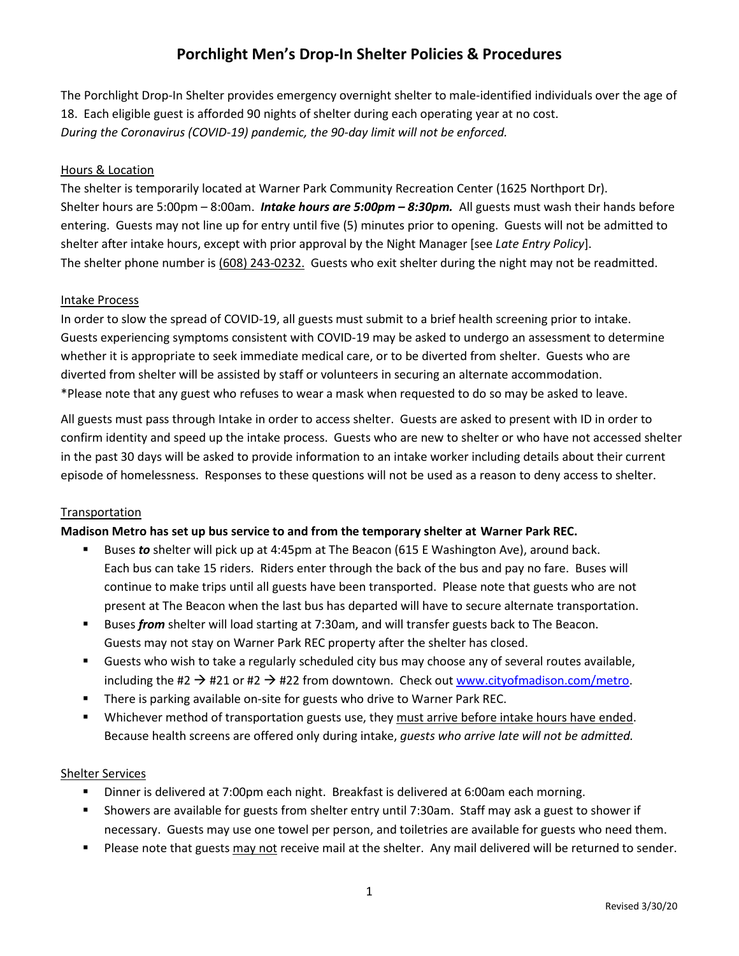# **Porchlight Men's Drop-In Shelter Policies & Procedures**

The Porchlight Drop-In Shelter provides emergency overnight shelter to male-identified individuals over the age of 18. Each eligible guest is afforded 90 nights of shelter during each operating year at no cost. *During the Coronavirus (COVID-19) pandemic, the 90-day limit will not be enforced.*

### Hours & Location

The shelter is temporarily located at Warner Park Community Recreation Center (1625 Northport Dr). Shelter hours are 5:00pm – 8:00am. *Intake hours are 5:00pm – 8:30pm.* All guests must wash their hands before entering. Guests may not line up for entry until five (5) minutes prior to opening. Guests will not be admitted to shelter after intake hours, except with prior approval by the Night Manager [see *Late Entry Policy*]. The shelter phone number is (608) 243-0232. Guests who exit shelter during the night may not be readmitted.

#### Intake Process

In order to slow the spread of COVID-19, all guests must submit to a brief health screening prior to intake. Guests experiencing symptoms consistent with COVID-19 may be asked to undergo an assessment to determine whether it is appropriate to seek immediate medical care, or to be diverted from shelter. Guests who are diverted from shelter will be assisted by staff or volunteers in securing an alternate accommodation. \*Please note that any guest who refuses to wear a mask when requested to do so may be asked to leave.

All guests must pass through Intake in order to access shelter. Guests are asked to present with ID in order to confirm identity and speed up the intake process. Guests who are new to shelter or who have not accessed shelter in the past 30 days will be asked to provide information to an intake worker including details about their current episode of homelessness. Responses to these questions will not be used as a reason to deny access to shelter.

#### **Transportation**

#### **Madison Metro has set up bus service to and from the temporary shelter at Warner Park REC.**

- Buses *to* shelter will pick up at 4:45pm at The Beacon (615 E Washington Ave), around back. Each bus can take 15 riders. Riders enter through the back of the bus and pay no fare. Buses will continue to make trips until all guests have been transported. Please note that guests who are not present at The Beacon when the last bus has departed will have to secure alternate transportation.
- Buses *from* shelter will load starting at 7:30am, and will transfer guests back to The Beacon. Guests may not stay on Warner Park REC property after the shelter has closed.
- Guests who wish to take a regularly scheduled city bus may choose any of several routes available, including the #2  $\rightarrow$  #21 or #2  $\rightarrow$  #22 from downtown. Check out [www.cityofmadison.com/metro.](http://www.cityofmadison.com/metro)
- **There is parking available on-site for guests who drive to Warner Park REC.**
- Whichever method of transportation guests use, they must arrive before intake hours have ended. Because health screens are offered only during intake, *guests who arrive late will not be admitted.*

#### Shelter Services

- Dinner is delivered at 7:00pm each night. Breakfast is delivered at 6:00am each morning.
- Showers are available for guests from shelter entry until 7:30am. Staff may ask a guest to shower if necessary. Guests may use one towel per person, and toiletries are available for guests who need them.
- **Please note that guests may not receive mail at the shelter. Any mail delivered will be returned to sender.**